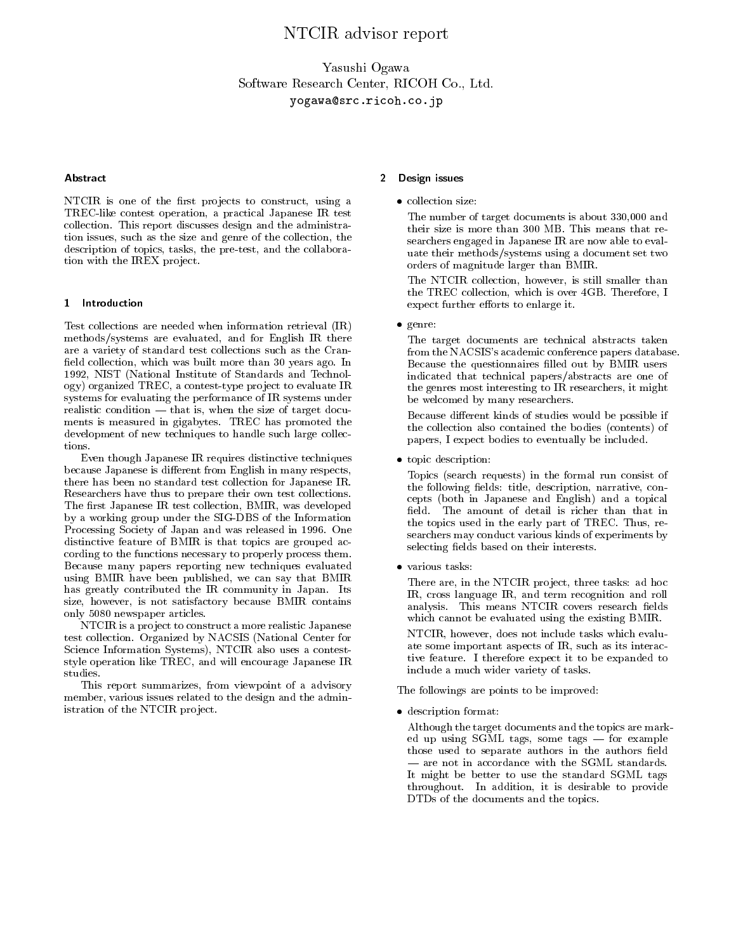# NTCIR advisor report

Yasushi OgawaSoftware Research Center, RICOH Co., Ltd.yogawa@src.ricoh.co.jp

### Abstract

NTCIR is one of the first projects to construct, using a TREC-like contest operation, a practical Japanese IR test collection. This report discusses design and the administration issues, such as the size and genre of the collection, the description of topics, tasks, the pre-test, and the collaboration with the IREX project.

#### 1 Introduction

Test collections are needed when information retrieval (IR) methods/systems are evaluated, and for English IR there are a variety of standard test collections such as the Cran field collection, which was built more than 30 years ago. In 1992, NIST (National Institute of Standards and Technology) organized TREC, a contest-type pro ject to evaluate IR systems for evaluating the performance of IR systems under realistic condition  $-$  that is, when the size of target documents is measured in gigabytes. TREC has promoted the development of new techniques to handle such large collections.

Even though Japanese IR requires distinctive techniques because Japanese is different from English in many respects, there has been no standard test collection for Japanese IR. Researchers have thus to prepare their own test collections. The first Japanese IR test collection, BMIR, was developed byaworking group under the SIG-DBS of the Information Processing Society of Japan and was released in 1996. One distinctive feature of BMIR is that topics are grouped according to the functions necessary to properly process them. Because many papers reporting new techniques evaluated using BMIR have been published, we can say that BMIR has greatly contributed the IR community in Japan. Its size, however, is not satisfactory because BMIR contains only 5080 newspaper articles.

NTCIR is a project to construct a more realistic Japanese test collection. Organized by NACSIS (National Center for Science Information Systems), NTCIR also uses a conteststyle operation like TREC, and will encourage Japanese IR studies.

This report summarizes, from viewpoint of a advisory member, various issues related to the design and the administration of the NTCIR project.

## 2 Design issues

The number of target documents is about 330,000 and their size is more than 300 MB. This means that re searchers engaged in Japanese IR are now able to evaluate their methods/systems using a document set two orders of magnitude larger than BMIR.

The NTCIR collection, however, is still smaller than the TREC collection, which is over 4GB. Therefore, I expect further efforts to enlarge it.

 $\sim$   $\sim$   $\sim$   $\sim$ 

The target documents are technical abstracts taken from the NACSIS's academic conference papers database. Because the questionnaires filled out by BMIR users indicated that technical papers/abstracts are one of the genres most interesting to IR researchers, it might be welcomed by many researchers.

Because different kinds of studies would be possible if the collection also contained the bodies (contents) of papers, I expect bodies to eventually be included.

topic descriptions of the second contract of the second contract of the second contract of the second contract of the second contract of the second contract of the second contract of the second contract of the second contr

Topics (search requests) in the formal run consist of the following fields: title, description, narrative, concepts (both in Japanese and English) and a topical field. The amount of detail is richer than that in the topics used in the early part of TREC. Thus, re searchers may conduct various kinds of experiments by selecting fields based on their interests.

There are, in the NTCIR project, three tasks: ad hoc IR, cross language IR, and term recognition and roll analysis. This means NTCIR covers research fields which cannot be evaluated using the existing BMIR.

NTCIR, however, does not include tasks which evaluate some important aspects of IR, such as its interactive feature. I therefore expect it to be expanded to include a much wider variety of tasks.

The followings are points to be improved:

description for the company of the company of the company of the company of the company of the company of the company of the company of the company of the company of the company of the company of the company of the company

Although the target documents and the topics are marked up using SGML tags, some tags  $-$  for example those used to separate authors in the authors field  $-$  are not in accordance with the SGML standards. It might be better to use the standard SGML tags throughout. In addition, it is desirable to provide DTDs of the documents and the topics.